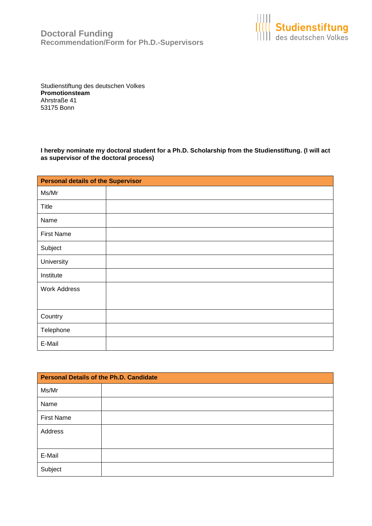

Studienstiftung des deutschen Volkes **Promotionsteam** Ahrstraße 41 53175 Bonn

**I hereby nominate my doctoral student for a Ph.D. Scholarship from the Studienstiftung. (I will act as supervisor of the doctoral process)**

| <b>Personal details of the Supervisor</b> |  |
|-------------------------------------------|--|
| Ms/Mr                                     |  |
| <b>Title</b>                              |  |
| Name                                      |  |
| <b>First Name</b>                         |  |
| Subject                                   |  |
| University                                |  |
| Institute                                 |  |
| <b>Work Address</b>                       |  |
|                                           |  |
| Country                                   |  |
| Telephone                                 |  |
| E-Mail                                    |  |

| Personal Details of the Ph.D. Candidate |  |
|-----------------------------------------|--|
| Ms/Mr                                   |  |
| Name                                    |  |
| <b>First Name</b>                       |  |
| Address                                 |  |
|                                         |  |
| E-Mail                                  |  |
| Subject                                 |  |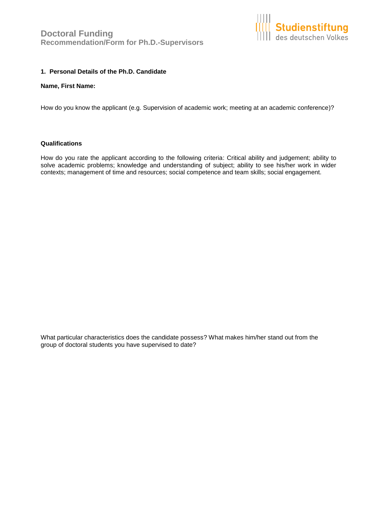

# **1. Personal Details of the Ph.D. Candidate**

#### **Name, First Name:**

How do you know the applicant (e.g. Supervision of academic work; meeting at an academic conference)?

#### **Qualifications**

How do you rate the applicant according to the following criteria: Critical ability and judgement; ability to solve academic problems; knowledge and understanding of subject; ability to see his/her work in wider contexts; management of time and resources; social competence and team skills; social engagement.

What particular characteristics does the candidate possess? What makes him/her stand out from the group of doctoral students you have supervised to date?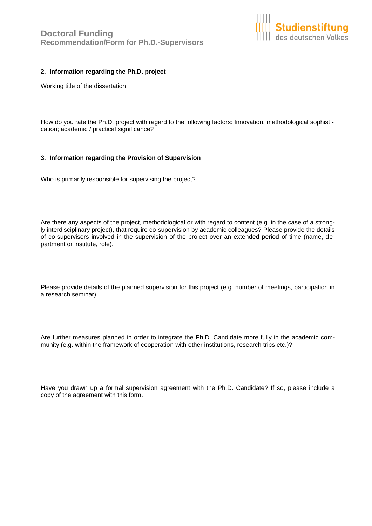

# **2. Information regarding the Ph.D. project**

Working title of the dissertation:

How do you rate the Ph.D. project with regard to the following factors: Innovation, methodological sophistication; academic / practical significance?

#### **3. Information regarding the Provision of Supervision**

Who is primarily responsible for supervising the project?

Are there any aspects of the project, methodological or with regard to content (e.g. in the case of a strongly interdisciplinary project), that require co-supervision by academic colleagues? Please provide the details of co-supervisors involved in the supervision of the project over an extended period of time (name, department or institute, role).

Please provide details of the planned supervision for this project (e.g. number of meetings, participation in a research seminar).

Are further measures planned in order to integrate the Ph.D. Candidate more fully in the academic community (e.g. within the framework of cooperation with other institutions, research trips etc.)?

Have you drawn up a formal supervision agreement with the Ph.D. Candidate? If so, please include a copy of the agreement with this form.